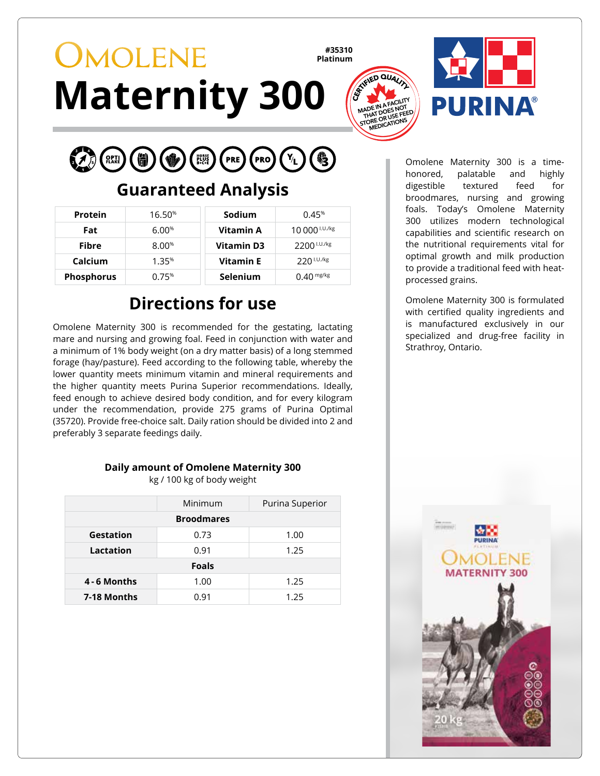# **OMOLENE Maternity 300**

**#35310 Platinum**





**PRO** 

#### **Guaranteed Analysis**

| <b>Protein</b>    | 16.50%   | Sodium            | 0.45%                     |
|-------------------|----------|-------------------|---------------------------|
| Fat               | 6.00%    | Vitamin A         | 10 000 <sup>I.U./kg</sup> |
| <b>Fibre</b>      | $8.00\%$ | <b>Vitamin D3</b> | 2200 <sup>1.U./kg</sup>   |
| Calcium           | 1.35%    | <b>Vitamin E</b>  | $220$ I.U./kg             |
| <b>Phosphorus</b> | 0.75%    | <b>Selenium</b>   | $0.40$ mg/kg              |

## **Directions for use**

Omolene Maternity 300 is recommended for the gestating, lactating mare and nursing and growing foal. Feed in conjunction with water and a minimum of 1% body weight (on a dry matter basis) of a long stemmed forage (hay/pasture). Feed according to the following table, whereby the lower quantity meets minimum vitamin and mineral requirements and the higher quantity meets Purina Superior recommendations. Ideally, feed enough to achieve desired body condition, and for every kilogram under the recommendation, provide 275 grams of Purina Optimal (35720). Provide free-choice salt. Daily ration should be divided into 2 and preferably 3 separate feedings daily.

#### **Daily amount of Omolene Maternity 300**

kg / 100 kg of body weight

|                   | Minimum | Purina Superior |  |  |
|-------------------|---------|-----------------|--|--|
| <b>Broodmares</b> |         |                 |  |  |
| Gestation         | 0.73    | 1.00            |  |  |
| Lactation         | 0.91    | 1.25            |  |  |
| <b>Foals</b>      |         |                 |  |  |
| 4 - 6 Months      | 1.00    | 1.25            |  |  |
| 7-18 Months       | 0.91    | 1.25            |  |  |

Omolene Maternity 300 is a timehonored, palatable and highly digestible textured feed for broodmares, nursing and growing foals. Today's Omolene Maternity 300 utilizes modern technological capabilities and scientific research on the nutritional requirements vital for optimal growth and milk production to provide a traditional feed with heatprocessed grains.

Omolene Maternity 300 is formulated with certified quality ingredients and is manufactured exclusively in our specialized and drug-free facility in Strathroy, Ontario.